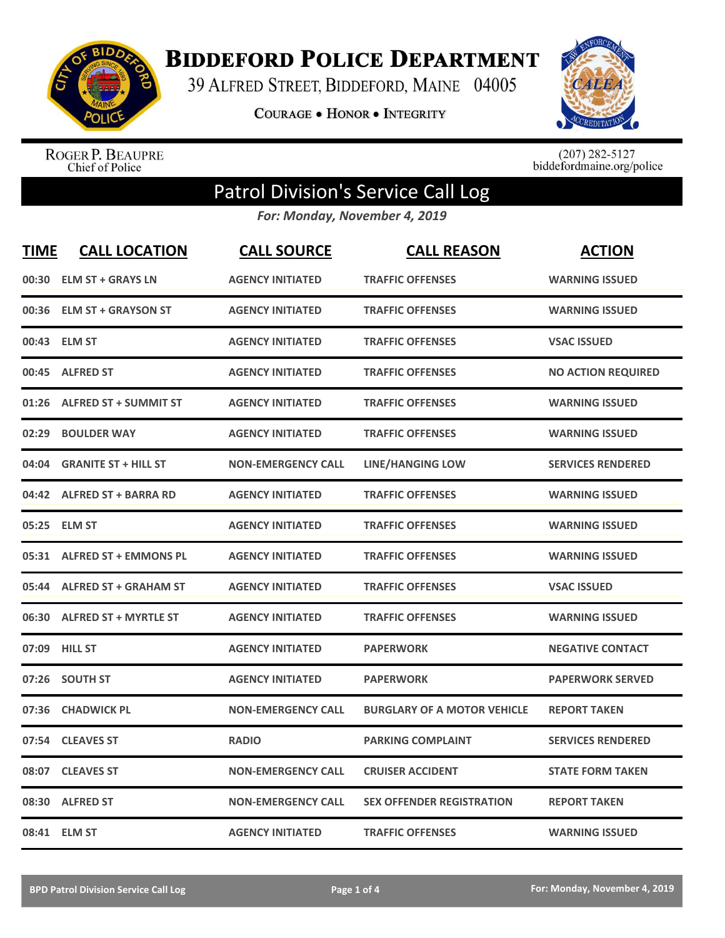

**BIDDEFORD POLICE DEPARTMENT** 

39 ALFRED STREET, BIDDEFORD, MAINE 04005

**COURAGE . HONOR . INTEGRITY** 



ROGER P. BEAUPRE<br>Chief of Police

 $(207)$  282-5127<br>biddefordmaine.org/police

## Patrol Division's Service Call Log

*For: Monday, November 4, 2019*

| <b>TIME</b> | <b>CALL LOCATION</b>         | <b>CALL SOURCE</b>        | <b>CALL REASON</b>                 | <b>ACTION</b>             |
|-------------|------------------------------|---------------------------|------------------------------------|---------------------------|
| 00:30       | <b>ELM ST + GRAYS LN</b>     | <b>AGENCY INITIATED</b>   | <b>TRAFFIC OFFENSES</b>            | <b>WARNING ISSUED</b>     |
|             | 00:36 ELM ST + GRAYSON ST    | <b>AGENCY INITIATED</b>   | <b>TRAFFIC OFFENSES</b>            | <b>WARNING ISSUED</b>     |
|             | 00:43 ELM ST                 | <b>AGENCY INITIATED</b>   | <b>TRAFFIC OFFENSES</b>            | <b>VSAC ISSUED</b>        |
| 00:45       | <b>ALFRED ST</b>             | <b>AGENCY INITIATED</b>   | <b>TRAFFIC OFFENSES</b>            | <b>NO ACTION REQUIRED</b> |
| 01:26       | <b>ALFRED ST + SUMMIT ST</b> | <b>AGENCY INITIATED</b>   | <b>TRAFFIC OFFENSES</b>            | <b>WARNING ISSUED</b>     |
| 02:29       | <b>BOULDER WAY</b>           | <b>AGENCY INITIATED</b>   | <b>TRAFFIC OFFENSES</b>            | <b>WARNING ISSUED</b>     |
| 04:04       | <b>GRANITE ST + HILL ST</b>  | <b>NON-EMERGENCY CALL</b> | <b>LINE/HANGING LOW</b>            | <b>SERVICES RENDERED</b>  |
|             | 04:42 ALFRED ST + BARRA RD   | <b>AGENCY INITIATED</b>   | <b>TRAFFIC OFFENSES</b>            | <b>WARNING ISSUED</b>     |
| 05:25       | <b>ELM ST</b>                | <b>AGENCY INITIATED</b>   | <b>TRAFFIC OFFENSES</b>            | <b>WARNING ISSUED</b>     |
| 05:31       | <b>ALFRED ST + EMMONS PL</b> | <b>AGENCY INITIATED</b>   | <b>TRAFFIC OFFENSES</b>            | <b>WARNING ISSUED</b>     |
|             | 05:44 ALFRED ST + GRAHAM ST  | <b>AGENCY INITIATED</b>   | <b>TRAFFIC OFFENSES</b>            | <b>VSAC ISSUED</b>        |
|             | 06:30 ALFRED ST + MYRTLE ST  | <b>AGENCY INITIATED</b>   | <b>TRAFFIC OFFENSES</b>            | <b>WARNING ISSUED</b>     |
| 07:09       | <b>HILL ST</b>               | <b>AGENCY INITIATED</b>   | <b>PAPERWORK</b>                   | <b>NEGATIVE CONTACT</b>   |
| 07:26       | <b>SOUTH ST</b>              | <b>AGENCY INITIATED</b>   | <b>PAPERWORK</b>                   | <b>PAPERWORK SERVED</b>   |
| 07:36       | <b>CHADWICK PL</b>           | <b>NON-EMERGENCY CALL</b> | <b>BURGLARY OF A MOTOR VEHICLE</b> | <b>REPORT TAKEN</b>       |
| 07:54       | <b>CLEAVES ST</b>            | <b>RADIO</b>              | <b>PARKING COMPLAINT</b>           | <b>SERVICES RENDERED</b>  |
| 08:07       | <b>CLEAVES ST</b>            | <b>NON-EMERGENCY CALL</b> | <b>CRUISER ACCIDENT</b>            | <b>STATE FORM TAKEN</b>   |
| 08:30       | <b>ALFRED ST</b>             | <b>NON-EMERGENCY CALL</b> | <b>SEX OFFENDER REGISTRATION</b>   | <b>REPORT TAKEN</b>       |
|             | 08:41 ELM ST                 | <b>AGENCY INITIATED</b>   | <b>TRAFFIC OFFENSES</b>            | <b>WARNING ISSUED</b>     |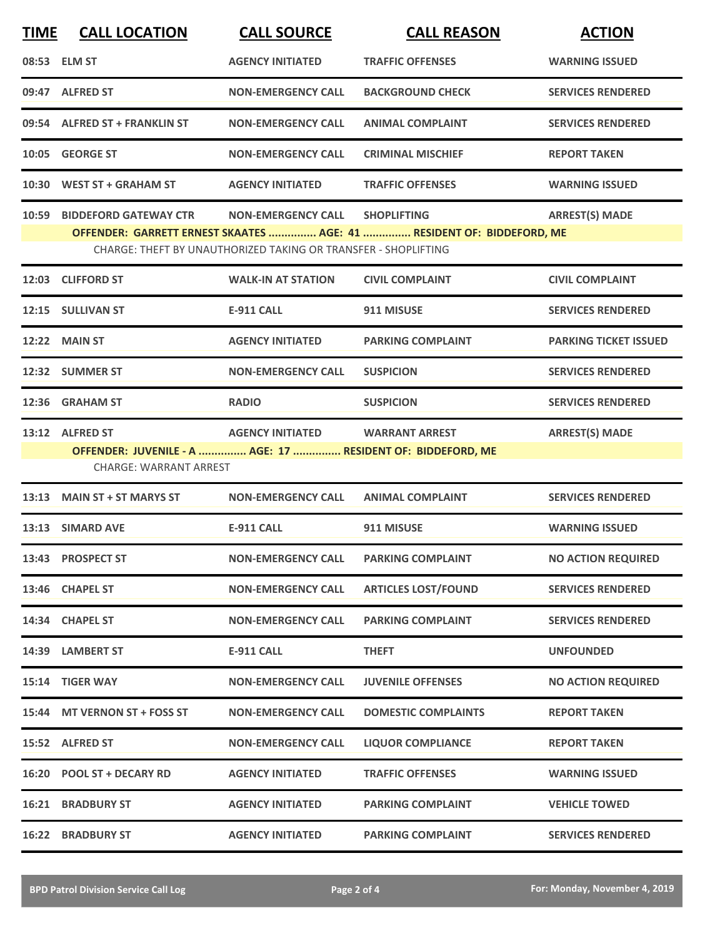| <b>TIME</b> | <b>CALL LOCATION</b>                                                                         | <b>CALL SOURCE</b>                                             | <b>CALL REASON</b>                                                                          | <b>ACTION</b>                |
|-------------|----------------------------------------------------------------------------------------------|----------------------------------------------------------------|---------------------------------------------------------------------------------------------|------------------------------|
|             | 08:53 ELM ST                                                                                 | <b>AGENCY INITIATED</b>                                        | <b>TRAFFIC OFFENSES</b>                                                                     | <b>WARNING ISSUED</b>        |
|             | 09:47 ALFRED ST                                                                              | <b>NON-EMERGENCY CALL</b>                                      | <b>BACKGROUND CHECK</b>                                                                     | <b>SERVICES RENDERED</b>     |
|             | 09:54 ALFRED ST + FRANKLIN ST                                                                | <b>NON-EMERGENCY CALL</b>                                      | <b>ANIMAL COMPLAINT</b>                                                                     | <b>SERVICES RENDERED</b>     |
|             | 10:05 GEORGE ST                                                                              | <b>NON-EMERGENCY CALL</b>                                      | <b>CRIMINAL MISCHIEF</b>                                                                    | <b>REPORT TAKEN</b>          |
|             | 10:30 WEST ST + GRAHAM ST                                                                    | <b>AGENCY INITIATED</b>                                        | <b>TRAFFIC OFFENSES</b>                                                                     | <b>WARNING ISSUED</b>        |
|             | 10:59 BIDDEFORD GATEWAY CTR                                                                  | <b>NON-EMERGENCY CALL</b>                                      | <b>SHOPLIFTING</b><br>OFFENDER: GARRETT ERNEST SKAATES  AGE: 41  RESIDENT OF: BIDDEFORD, ME | <b>ARREST(S) MADE</b>        |
|             |                                                                                              | CHARGE: THEFT BY UNAUTHORIZED TAKING OR TRANSFER - SHOPLIFTING |                                                                                             |                              |
|             | 12:03 CLIFFORD ST                                                                            | <b>WALK-IN AT STATION</b>                                      | <b>CIVIL COMPLAINT</b>                                                                      | <b>CIVIL COMPLAINT</b>       |
|             | 12:15 SULLIVAN ST                                                                            | <b>E-911 CALL</b>                                              | 911 MISUSE                                                                                  | <b>SERVICES RENDERED</b>     |
|             | <b>12:22 MAIN ST</b>                                                                         | <b>AGENCY INITIATED</b>                                        | <b>PARKING COMPLAINT</b>                                                                    | <b>PARKING TICKET ISSUED</b> |
|             | 12:32 SUMMER ST                                                                              | <b>NON-EMERGENCY CALL</b>                                      | <b>SUSPICION</b>                                                                            | <b>SERVICES RENDERED</b>     |
|             | 12:36 GRAHAM ST                                                                              | <b>RADIO</b>                                                   | <b>SUSPICION</b>                                                                            | <b>SERVICES RENDERED</b>     |
|             | 13:12 ALFRED ST                                                                              | AGENCY INITIATED WARRANT ARREST                                |                                                                                             | <b>ARREST(S) MADE</b>        |
|             | OFFENDER: JUVENILE - A  AGE: 17  RESIDENT OF: BIDDEFORD, ME<br><b>CHARGE: WARRANT ARREST</b> |                                                                |                                                                                             |                              |
|             | 13:13 MAIN ST + ST MARYS ST                                                                  | <b>NON-EMERGENCY CALL</b>                                      | <b>ANIMAL COMPLAINT</b>                                                                     | <b>SERVICES RENDERED</b>     |
|             | 13:13 SIMARD AVE                                                                             | <b>E-911 CALL</b>                                              | 911 MISUSE                                                                                  | <b>WARNING ISSUED</b>        |
|             | 13:43 PROSPECT ST                                                                            | <b>NON-EMERGENCY CALL</b>                                      | <b>PARKING COMPLAINT</b>                                                                    | <b>NO ACTION REQUIRED</b>    |
|             | 13:46 CHAPEL ST                                                                              | <b>NON-EMERGENCY CALL</b>                                      | <b>ARTICLES LOST/FOUND</b>                                                                  | <b>SERVICES RENDERED</b>     |
|             | 14:34 CHAPEL ST                                                                              | <b>NON-EMERGENCY CALL</b>                                      | <b>PARKING COMPLAINT</b>                                                                    | <b>SERVICES RENDERED</b>     |
|             | 14:39 LAMBERT ST                                                                             | <b>E-911 CALL</b>                                              | <b>THEFT</b>                                                                                | <b>UNFOUNDED</b>             |
|             | 15:14 TIGER WAY                                                                              | <b>NON-EMERGENCY CALL</b>                                      | <b>JUVENILE OFFENSES</b>                                                                    | <b>NO ACTION REQUIRED</b>    |
|             | 15:44 MT VERNON ST + FOSS ST                                                                 | <b>NON-EMERGENCY CALL</b>                                      | <b>DOMESTIC COMPLAINTS</b>                                                                  | <b>REPORT TAKEN</b>          |
|             | 15:52 ALFRED ST                                                                              | <b>NON-EMERGENCY CALL</b>                                      | <b>LIQUOR COMPLIANCE</b>                                                                    | <b>REPORT TAKEN</b>          |
|             | 16:20 POOL ST + DECARY RD                                                                    | <b>AGENCY INITIATED</b>                                        | <b>TRAFFIC OFFENSES</b>                                                                     | <b>WARNING ISSUED</b>        |
| 16:21       | <b>BRADBURY ST</b>                                                                           | <b>AGENCY INITIATED</b>                                        | <b>PARKING COMPLAINT</b>                                                                    | <b>VEHICLE TOWED</b>         |
|             | <b>16:22 BRADBURY ST</b>                                                                     | <b>AGENCY INITIATED</b>                                        | <b>PARKING COMPLAINT</b>                                                                    | <b>SERVICES RENDERED</b>     |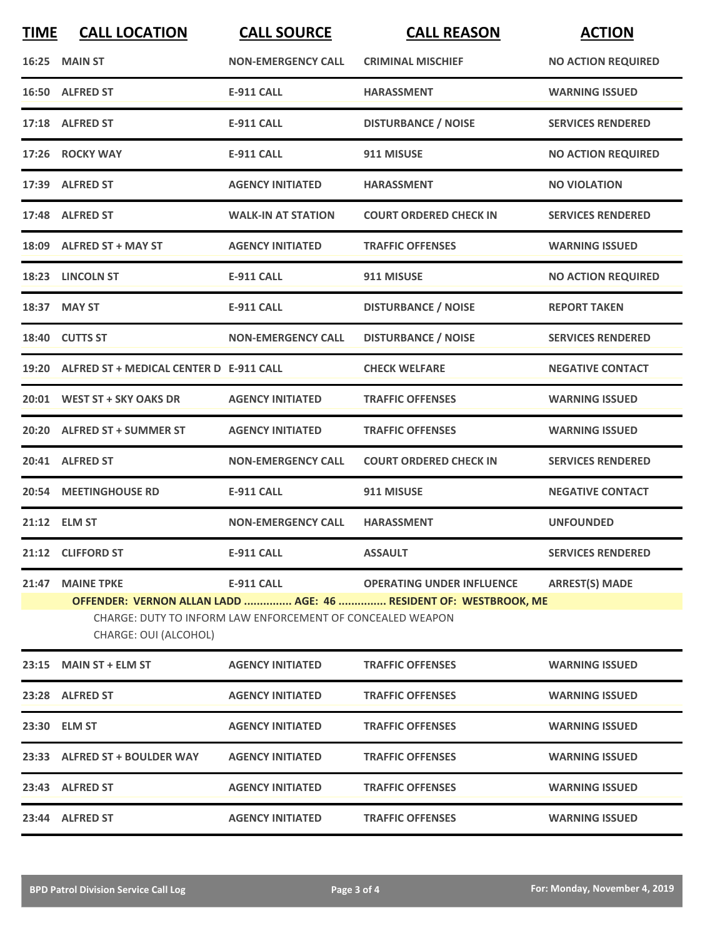| <b>TIME</b> | <b>CALL LOCATION</b>                                                                                                                                    | <b>CALL SOURCE</b>        | <b>CALL REASON</b>               | <b>ACTION</b>             |  |
|-------------|---------------------------------------------------------------------------------------------------------------------------------------------------------|---------------------------|----------------------------------|---------------------------|--|
|             | 16:25 MAIN ST                                                                                                                                           | <b>NON-EMERGENCY CALL</b> | <b>CRIMINAL MISCHIEF</b>         | <b>NO ACTION REQUIRED</b> |  |
|             | 16:50 ALFRED ST                                                                                                                                         | <b>E-911 CALL</b>         | <b>HARASSMENT</b>                | <b>WARNING ISSUED</b>     |  |
|             | 17:18 ALFRED ST                                                                                                                                         | <b>E-911 CALL</b>         | <b>DISTURBANCE / NOISE</b>       | <b>SERVICES RENDERED</b>  |  |
|             | 17:26 ROCKY WAY                                                                                                                                         | <b>E-911 CALL</b>         | 911 MISUSE                       | <b>NO ACTION REQUIRED</b> |  |
|             | 17:39 ALFRED ST                                                                                                                                         | <b>AGENCY INITIATED</b>   | <b>HARASSMENT</b>                | <b>NO VIOLATION</b>       |  |
|             | 17:48 ALFRED ST                                                                                                                                         | <b>WALK-IN AT STATION</b> | <b>COURT ORDERED CHECK IN</b>    | <b>SERVICES RENDERED</b>  |  |
|             | 18:09 ALFRED ST + MAY ST                                                                                                                                | <b>AGENCY INITIATED</b>   | <b>TRAFFIC OFFENSES</b>          | <b>WARNING ISSUED</b>     |  |
|             | 18:23 LINCOLN ST                                                                                                                                        | <b>E-911 CALL</b>         | 911 MISUSE                       | <b>NO ACTION REQUIRED</b> |  |
|             | 18:37 MAY ST                                                                                                                                            | <b>E-911 CALL</b>         | <b>DISTURBANCE / NOISE</b>       | <b>REPORT TAKEN</b>       |  |
|             | 18:40 CUTTS ST                                                                                                                                          | <b>NON-EMERGENCY CALL</b> | <b>DISTURBANCE / NOISE</b>       | <b>SERVICES RENDERED</b>  |  |
|             | 19:20 ALFRED ST + MEDICAL CENTER D E-911 CALL                                                                                                           |                           | <b>CHECK WELFARE</b>             | <b>NEGATIVE CONTACT</b>   |  |
|             | 20:01 WEST ST + SKY OAKS DR                                                                                                                             | <b>AGENCY INITIATED</b>   | <b>TRAFFIC OFFENSES</b>          | <b>WARNING ISSUED</b>     |  |
|             | 20:20 ALFRED ST + SUMMER ST                                                                                                                             | <b>AGENCY INITIATED</b>   | <b>TRAFFIC OFFENSES</b>          | <b>WARNING ISSUED</b>     |  |
|             | 20:41 ALFRED ST                                                                                                                                         | <b>NON-EMERGENCY CALL</b> | <b>COURT ORDERED CHECK IN</b>    | <b>SERVICES RENDERED</b>  |  |
|             | 20:54 MEETINGHOUSE RD                                                                                                                                   | <b>E-911 CALL</b>         | 911 MISUSE                       | <b>NEGATIVE CONTACT</b>   |  |
|             | 21:12 ELM ST                                                                                                                                            | <b>NON-EMERGENCY CALL</b> | <b>HARASSMENT</b>                | <b>UNFOUNDED</b>          |  |
|             | 21:12 CLIFFORD ST                                                                                                                                       | <b>E-911 CALL</b>         | <b>ASSAULT</b>                   | <b>SERVICES RENDERED</b>  |  |
|             | 21:47 MAINE TPKE                                                                                                                                        | E-911 CALL                | <b>OPERATING UNDER INFLUENCE</b> | <b>ARREST(S) MADE</b>     |  |
|             | OFFENDER: VERNON ALLAN LADD  AGE: 46  RESIDENT OF: WESTBROOK, ME<br>CHARGE: DUTY TO INFORM LAW ENFORCEMENT OF CONCEALED WEAPON<br>CHARGE: OUI (ALCOHOL) |                           |                                  |                           |  |
|             | 23:15 MAIN ST + ELM ST                                                                                                                                  | <b>AGENCY INITIATED</b>   | <b>TRAFFIC OFFENSES</b>          | <b>WARNING ISSUED</b>     |  |
|             | 23:28 ALFRED ST                                                                                                                                         | <b>AGENCY INITIATED</b>   | <b>TRAFFIC OFFENSES</b>          | <b>WARNING ISSUED</b>     |  |
|             | 23:30 ELM ST                                                                                                                                            | <b>AGENCY INITIATED</b>   | <b>TRAFFIC OFFENSES</b>          | <b>WARNING ISSUED</b>     |  |
|             | 23:33 ALFRED ST + BOULDER WAY                                                                                                                           | <b>AGENCY INITIATED</b>   | <b>TRAFFIC OFFENSES</b>          | <b>WARNING ISSUED</b>     |  |
|             | 23:43 ALFRED ST                                                                                                                                         | <b>AGENCY INITIATED</b>   | <b>TRAFFIC OFFENSES</b>          | <b>WARNING ISSUED</b>     |  |
|             | 23:44 ALFRED ST                                                                                                                                         | <b>AGENCY INITIATED</b>   | <b>TRAFFIC OFFENSES</b>          | <b>WARNING ISSUED</b>     |  |